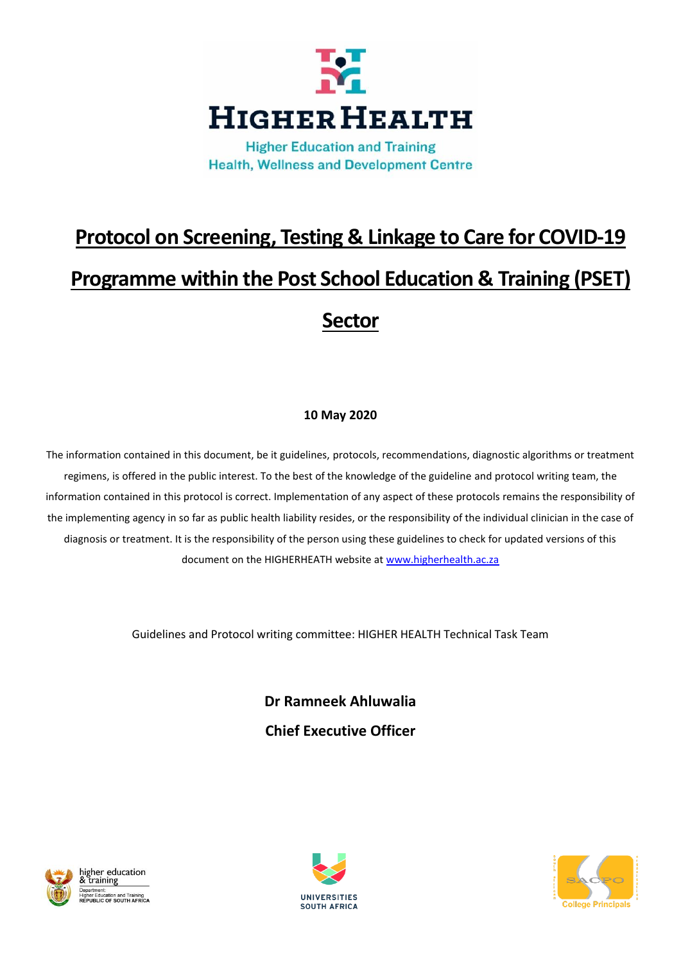

**Health, Wellness and Development Centre** 

# **Protocol on Screening, Testing & Linkage to Care for COVID-19 Programme within the Post School Education & Training (PSET) Sector**

# **10 May 2020**

The information contained in this document, be it guidelines, protocols, recommendations, diagnostic algorithms or treatment regimens, is offered in the public interest. To the best of the knowledge of the guideline and protocol writing team, the information contained in this protocol is correct. Implementation of any aspect of these protocols remains the responsibility of the implementing agency in so far as public health liability resides, or the responsibility of the individual clinician in the case of diagnosis or treatment. It is the responsibility of the person using these guidelines to check for updated versions of this document on the HIGHERHEATH website at [www.higherhealth.ac.za](http://www.higherhealth.ac.za/)

Guidelines and Protocol writing committee: HIGHER HEALTH Technical Task Team

**Dr Ramneek Ahluwalia Chief Executive Officer**





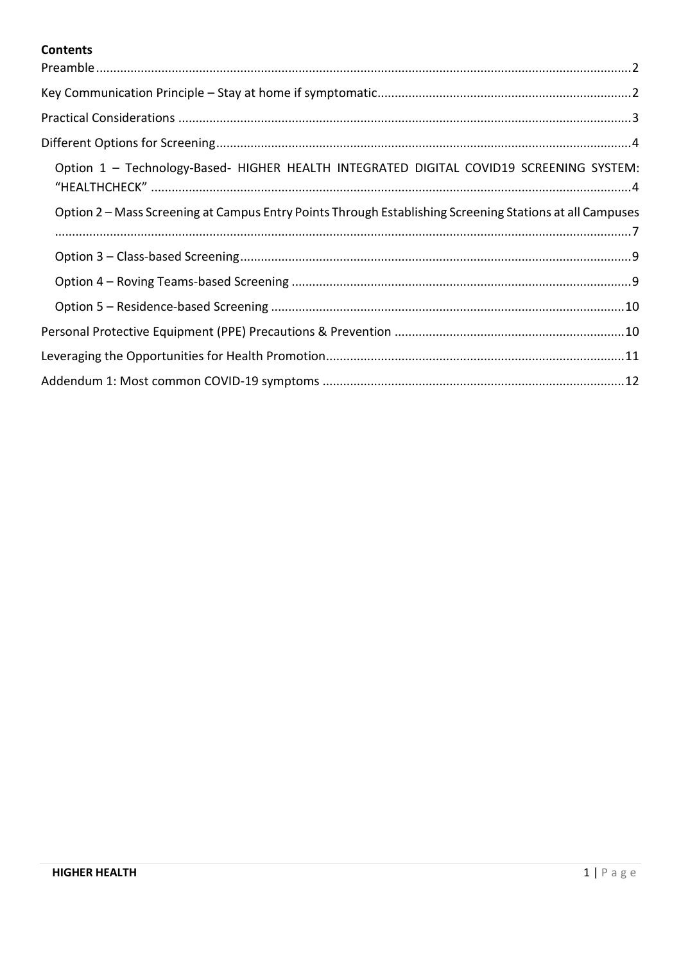# **Contents**

| Option 1 - Technology-Based- HIGHER HEALTH INTEGRATED DIGITAL COVID19 SCREENING SYSTEM:                  |
|----------------------------------------------------------------------------------------------------------|
| Option 2 – Mass Screening at Campus Entry Points Through Establishing Screening Stations at all Campuses |
|                                                                                                          |
|                                                                                                          |
|                                                                                                          |
|                                                                                                          |
|                                                                                                          |
|                                                                                                          |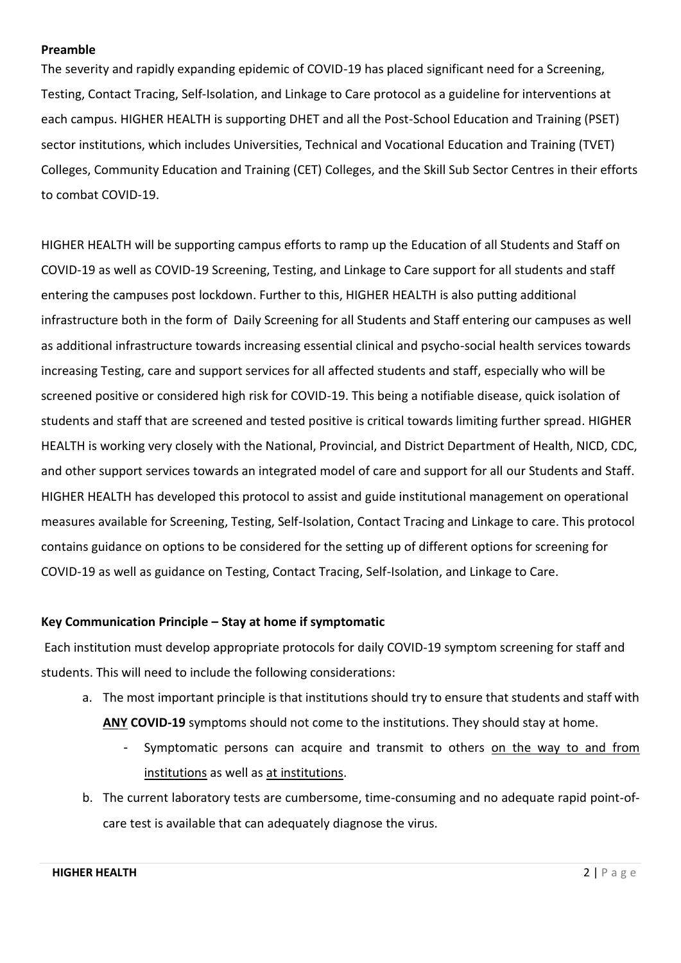#### <span id="page-2-0"></span>**Preamble**

The severity and rapidly expanding epidemic of COVID-19 has placed significant need for a Screening, Testing, Contact Tracing, Self-Isolation, and Linkage to Care protocol as a guideline for interventions at each campus. HIGHER HEALTH is supporting DHET and all the Post-School Education and Training (PSET) sector institutions, which includes Universities, Technical and Vocational Education and Training (TVET) Colleges, Community Education and Training (CET) Colleges, and the Skill Sub Sector Centres in their efforts to combat COVID-19.

HIGHER HEALTH will be supporting campus efforts to ramp up the Education of all Students and Staff on COVID-19 as well as COVID-19 Screening, Testing, and Linkage to Care support for all students and staff entering the campuses post lockdown. Further to this, HIGHER HEALTH is also putting additional infrastructure both in the form of Daily Screening for all Students and Staff entering our campuses as well as additional infrastructure towards increasing essential clinical and psycho-social health services towards increasing Testing, care and support services for all affected students and staff, especially who will be screened positive or considered high risk for COVID-19. This being a notifiable disease, quick isolation of students and staff that are screened and tested positive is critical towards limiting further spread. HIGHER HEALTH is working very closely with the National, Provincial, and District Department of Health, NICD, CDC, and other support services towards an integrated model of care and support for all our Students and Staff. HIGHER HEALTH has developed this protocol to assist and guide institutional management on operational measures available for Screening, Testing, Self-Isolation, Contact Tracing and Linkage to care. This protocol contains guidance on options to be considered for the setting up of different options for screening for COVID-19 as well as guidance on Testing, Contact Tracing, Self-Isolation, and Linkage to Care.

#### <span id="page-2-1"></span>**Key Communication Principle – Stay at home if symptomatic**

Each institution must develop appropriate protocols for daily COVID-19 symptom screening for staff and students. This will need to include the following considerations:

- a. The most important principle is that institutions should try to ensure that students and staff with **ANY COVID-19** symptoms should not come to the institutions. They should stay at home.
	- Symptomatic persons can acquire and transmit to others on the way to and from institutions as well as at institutions.
- b. The current laboratory tests are cumbersome, time-consuming and no adequate rapid point-ofcare test is available that can adequately diagnose the virus.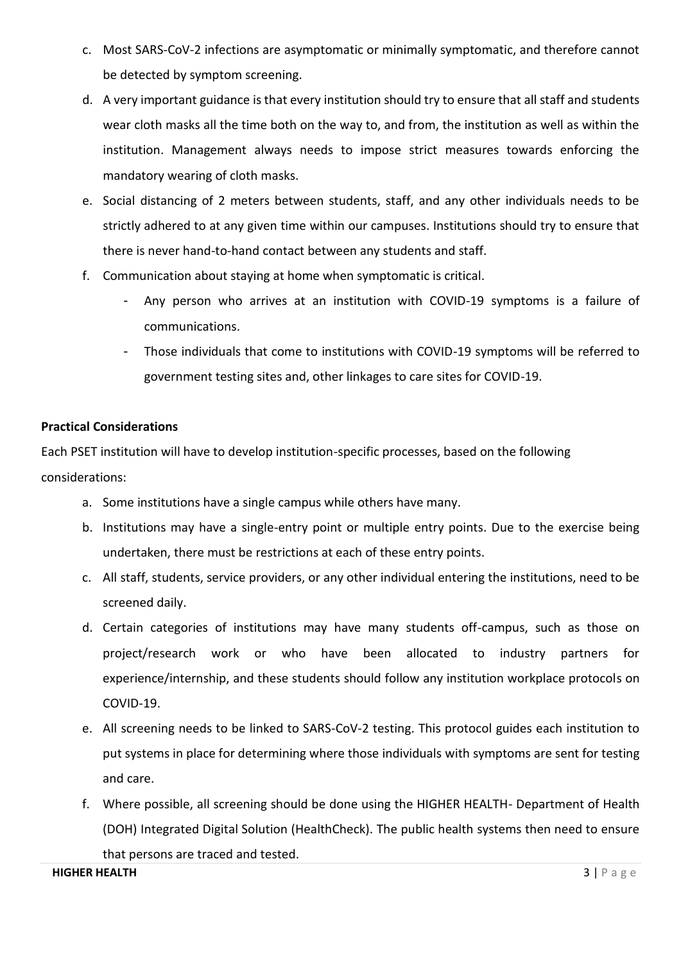- c. Most SARS-CoV-2 infections are asymptomatic or minimally symptomatic, and therefore cannot be detected by symptom screening.
- d. A very important guidance is that every institution should try to ensure that all staff and students wear cloth masks all the time both on the way to, and from, the institution as well as within the institution. Management always needs to impose strict measures towards enforcing the mandatory wearing of cloth masks.
- e. Social distancing of 2 meters between students, staff, and any other individuals needs to be strictly adhered to at any given time within our campuses. Institutions should try to ensure that there is never hand-to-hand contact between any students and staff.
- f. Communication about staying at home when symptomatic is critical.
	- Any person who arrives at an institution with COVID-19 symptoms is a failure of communications.
	- Those individuals that come to institutions with COVID-19 symptoms will be referred to government testing sites and, other linkages to care sites for COVID-19.

#### <span id="page-3-0"></span>**Practical Considerations**

Each PSET institution will have to develop institution-specific processes, based on the following considerations:

- a. Some institutions have a single campus while others have many.
- b. Institutions may have a single-entry point or multiple entry points. Due to the exercise being undertaken, there must be restrictions at each of these entry points.
- c. All staff, students, service providers, or any other individual entering the institutions, need to be screened daily.
- d. Certain categories of institutions may have many students off-campus, such as those on project/research work or who have been allocated to industry partners for experience/internship, and these students should follow any institution workplace protocols on COVID-19.
- e. All screening needs to be linked to SARS-CoV-2 testing. This protocol guides each institution to put systems in place for determining where those individuals with symptoms are sent for testing and care.
- f. Where possible, all screening should be done using the HIGHER HEALTH- Department of Health (DOH) Integrated Digital Solution (HealthCheck). The public health systems then need to ensure that persons are traced and tested.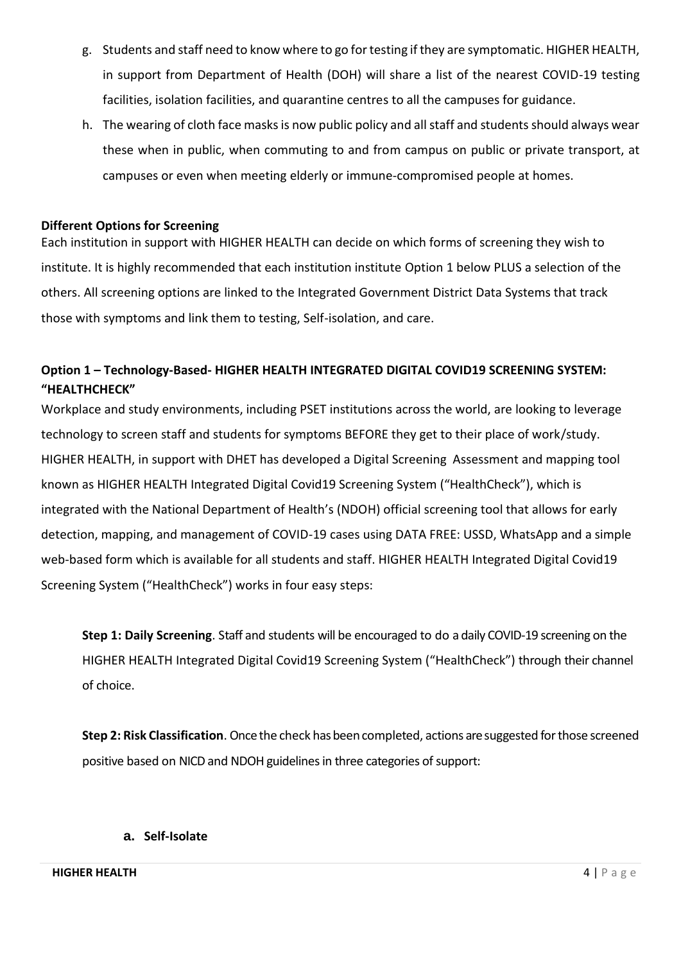- g. Students and staff need to know where to go for testing if they are symptomatic. HIGHER HEALTH, in support from Department of Health (DOH) will share a list of the nearest COVID-19 testing facilities, isolation facilities, and quarantine centres to all the campuses for guidance.
- h. The wearing of cloth face masks is now public policy and all staff and students should always wear these when in public, when commuting to and from campus on public or private transport, at campuses or even when meeting elderly or immune-compromised people at homes.

#### <span id="page-4-0"></span>**Different Options for Screening**

Each institution in support with HIGHER HEALTH can decide on which forms of screening they wish to institute. It is highly recommended that each institution institute Option 1 below PLUS a selection of the others. All screening options are linked to the Integrated Government District Data Systems that track those with symptoms and link them to testing, Self-isolation, and care.

# <span id="page-4-1"></span>**Option 1 – Technology-Based- HIGHER HEALTH INTEGRATED DIGITAL COVID19 SCREENING SYSTEM: "HEALTHCHECK"**

Workplace and study environments, including PSET institutions across the world, are looking to leverage technology to screen staff and students for symptoms BEFORE they get to their place of work/study. HIGHER HEALTH, in support with DHET has developed a Digital Screening Assessment and mapping tool known as HIGHER HEALTH Integrated Digital Covid19 Screening System ("HealthCheck"), which is integrated with the National Department of Health's (NDOH) official screening tool that allows for early detection, mapping, and management of COVID-19 cases using DATA FREE: USSD, WhatsApp and a simple web-based form which is available for all students and staff. HIGHER HEALTH Integrated Digital Covid19 Screening System ("HealthCheck") works in four easy steps:

**Step 1: Daily Screening**. Staff and students will be encouraged to do a daily COVID-19 screening on the HIGHER HEALTH Integrated Digital Covid19 Screening System ("HealthCheck") through their channel of choice.

**Step 2: Risk Classification**. Once the check has been completed, actions are suggested for those screened positive based on NICD and NDOH guidelines in three categories of support:

#### **a. Self-Isolate**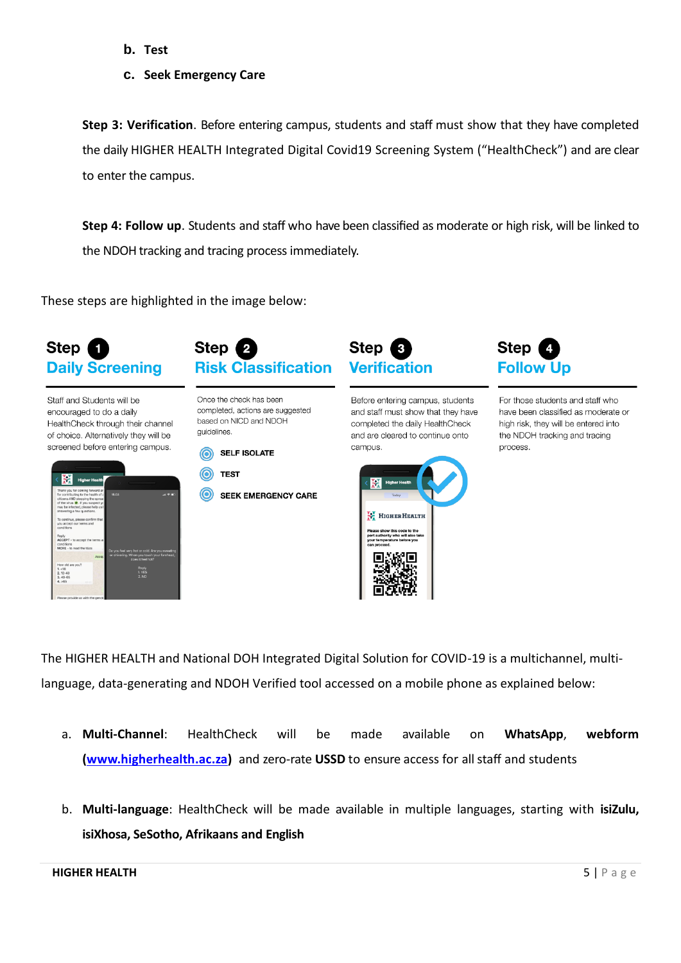- **b. Test**
- **c. Seek Emergency Care**

**Step 3: Verification**. Before entering campus, students and staff must show that they have completed the daily HIGHER HEALTH Integrated Digital Covid19 Screening System ("HealthCheck") and are clear to enter the campus.

**Step 4: Follow up**. Students and staff who have been classified as moderate or high risk, will be linked to the NDOH tracking and tracing process immediately.

These steps are highlighted in the image below:



Staff and Students will be encouraged to do a daily HealthCheck through their channel of choice. Alternatively they will be screened before entering campus.

|                                                                                                                                                                                                                             | <b>Higher Health</b> |                                                                  |
|-----------------------------------------------------------------------------------------------------------------------------------------------------------------------------------------------------------------------------|----------------------|------------------------------------------------------------------|
| Thank you for coming forward an<br>for contributing to the health of a<br>citizens AND stopping the spread<br>of the virus $\bullet$ . If you suspect yc<br>may be infected, please help us I<br>answering a few questions. | 16:03                | $-121$                                                           |
| To continue, please confirm that<br>you accept our terms and<br>conditions                                                                                                                                                  |                      |                                                                  |
| Reply<br>ACCEPT - to accept the terms as<br>conditions<br>MORE - to read the t&cs.                                                                                                                                          |                      | Do you feel very hot or cold. Are you sweating                   |
|                                                                                                                                                                                                                             | Accep                | or shivering. When you touch your forehead,<br>does it feel hot? |
| How old are you?                                                                                                                                                                                                            |                      | Reply                                                            |
| 1. < 18                                                                                                                                                                                                                     |                      | 1. YES                                                           |
|                                                                                                                                                                                                                             |                      |                                                                  |
| $2.18 - 40$<br>$3,40-65$                                                                                                                                                                                                    |                      | 2. NO                                                            |



Once the check has been completed, actions are suggested based on NICD and NDOH guidelines





 $\odot$ **SEEK EMERGENCY CARE** 



Before entering campus, students and staff must show that they have completed the daily HealthCheck and are cleared to continue onto campus.





For those students and staff who have been classified as moderate or high risk, they will be entered into the NDOH tracking and tracing process.

The HIGHER HEALTH and National DOH Integrated Digital Solution for COVID-19 is a multichannel, multilanguage, data-generating and NDOH Verified tool accessed on a mobile phone as explained below:

- a. **Multi-Channel**: HealthCheck will be made available on **WhatsApp**, **webform [\(www.higherhealth.ac.za\)](http://www.higherhealth.ac.za/)** and zero-rate **USSD** to ensure access for all staff and students
- b. **Multi-language**: HealthCheck will be made available in multiple languages, starting with **isiZulu, isiXhosa, SeSotho, Afrikaans and English**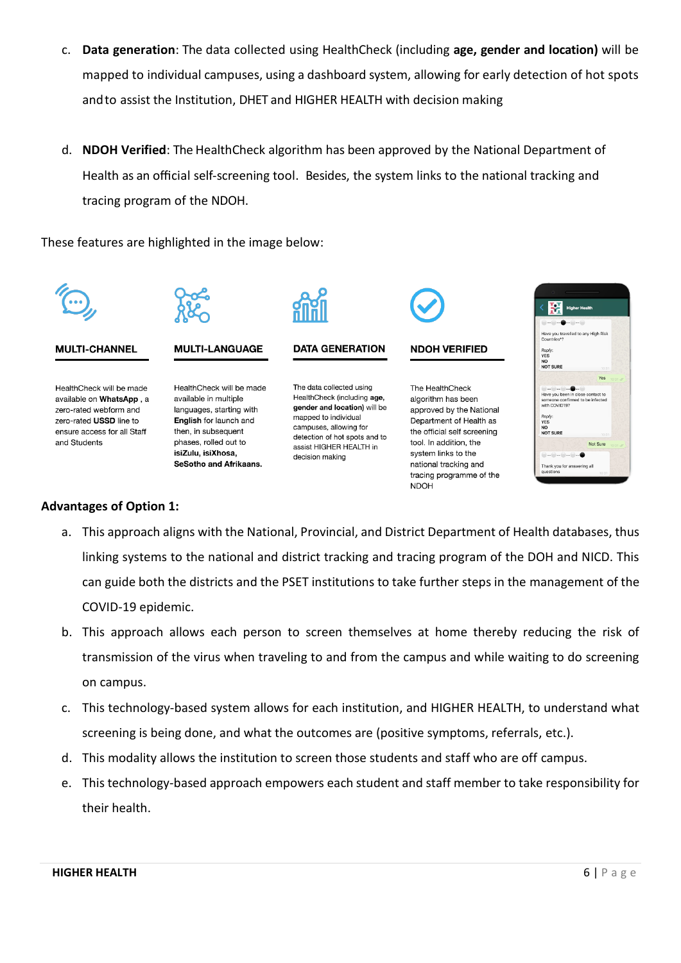- c. **Data generation**: The data collected using HealthCheck (including **age, gender and location)** will be mapped to individual campuses, using a dashboard system, allowing for early detection of hot spots andto assist the Institution, DHET and HIGHER HEALTH with decision making
- d. **NDOH Verified**: The HealthCheck algorithm has been approved by the National Department of Health as an official self-screening tool. Besides, the system links to the national tracking and tracing program of the NDOH.

These features are highlighted in the image below:



#### **Advantages of Option 1:**

- a. This approach aligns with the National, Provincial, and District Department of Health databases, thus linking systems to the national and district tracking and tracing program of the DOH and NICD. This can guide both the districts and the PSET institutions to take further steps in the management of the COVID-19 epidemic.
- b. This approach allows each person to screen themselves at home thereby reducing the risk of transmission of the virus when traveling to and from the campus and while waiting to do screening on campus.
- c. This technology-based system allows for each institution, and HIGHER HEALTH, to understand what screening is being done, and what the outcomes are (positive symptoms, referrals, etc.).
- d. This modality allows the institution to screen those students and staff who are off campus.
- e. This technology-based approach empowers each student and staff member to take responsibility for their health.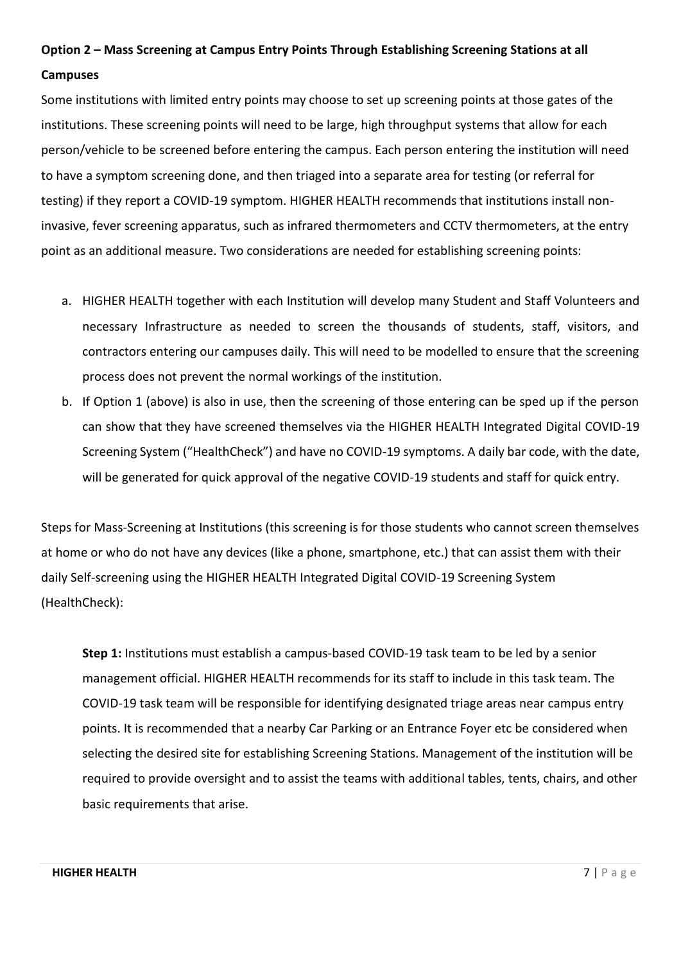# <span id="page-7-0"></span>**Option 2 – Mass Screening at Campus Entry Points Through Establishing Screening Stations at all Campuses**

Some institutions with limited entry points may choose to set up screening points at those gates of the institutions. These screening points will need to be large, high throughput systems that allow for each person/vehicle to be screened before entering the campus. Each person entering the institution will need to have a symptom screening done, and then triaged into a separate area for testing (or referral for testing) if they report a COVID-19 symptom. HIGHER HEALTH recommends that institutions install noninvasive, fever screening apparatus, such as infrared thermometers and CCTV thermometers, at the entry point as an additional measure. Two considerations are needed for establishing screening points:

- a. HIGHER HEALTH together with each Institution will develop many Student and Staff Volunteers and necessary Infrastructure as needed to screen the thousands of students, staff, visitors, and contractors entering our campuses daily. This will need to be modelled to ensure that the screening process does not prevent the normal workings of the institution.
- b. If Option 1 (above) is also in use, then the screening of those entering can be sped up if the person can show that they have screened themselves via the HIGHER HEALTH Integrated Digital COVID-19 Screening System ("HealthCheck") and have no COVID-19 symptoms. A daily bar code, with the date, will be generated for quick approval of the negative COVID-19 students and staff for quick entry.

Steps for Mass-Screening at Institutions (this screening is for those students who cannot screen themselves at home or who do not have any devices (like a phone, smartphone, etc.) that can assist them with their daily Self-screening using the HIGHER HEALTH Integrated Digital COVID-19 Screening System (HealthCheck):

**Step 1:** Institutions must establish a campus-based COVID-19 task team to be led by a senior management official. HIGHER HEALTH recommends for its staff to include in this task team. The COVID-19 task team will be responsible for identifying designated triage areas near campus entry points. It is recommended that a nearby Car Parking or an Entrance Foyer etc be considered when selecting the desired site for establishing Screening Stations. Management of the institution will be required to provide oversight and to assist the teams with additional tables, tents, chairs, and other basic requirements that arise.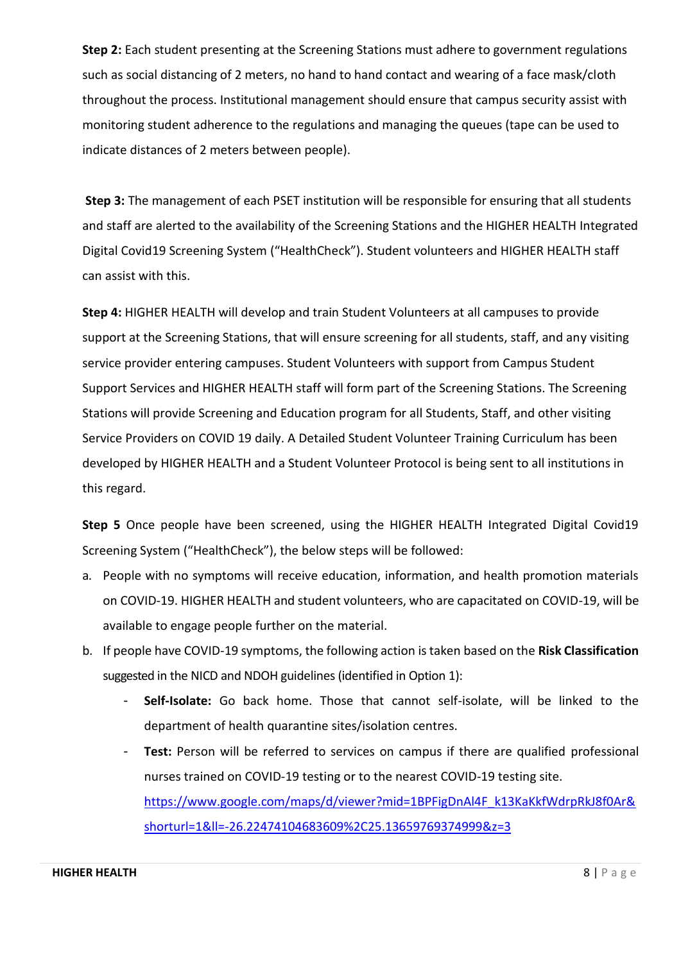**Step 2:** Each student presenting at the Screening Stations must adhere to government regulations such as social distancing of 2 meters, no hand to hand contact and wearing of a face mask/cloth throughout the process. Institutional management should ensure that campus security assist with monitoring student adherence to the regulations and managing the queues (tape can be used to indicate distances of 2 meters between people).

**Step 3:** The management of each PSET institution will be responsible for ensuring that all students and staff are alerted to the availability of the Screening Stations and the HIGHER HEALTH Integrated Digital Covid19 Screening System ("HealthCheck"). Student volunteers and HIGHER HEALTH staff can assist with this.

**Step 4:** HIGHER HEALTH will develop and train Student Volunteers at all campuses to provide support at the Screening Stations, that will ensure screening for all students, staff, and any visiting service provider entering campuses. Student Volunteers with support from Campus Student Support Services and HIGHER HEALTH staff will form part of the Screening Stations. The Screening Stations will provide Screening and Education program for all Students, Staff, and other visiting Service Providers on COVID 19 daily. A Detailed Student Volunteer Training Curriculum has been developed by HIGHER HEALTH and a Student Volunteer Protocol is being sent to all institutions in this regard.

**Step 5** Once people have been screened, using the HIGHER HEALTH Integrated Digital Covid19 Screening System ("HealthCheck"), the below steps will be followed:

- a. People with no symptoms will receive education, information, and health promotion materials on COVID-19. HIGHER HEALTH and student volunteers, who are capacitated on COVID-19, will be available to engage people further on the material.
- b. If people have COVID-19 symptoms, the following action is taken based on the **Risk Classification**  suggested in the NICD and NDOH guidelines (identified in Option 1):
	- Self-Isolate: Go back home. Those that cannot self-isolate, will be linked to the department of health quarantine sites/isolation centres.
	- **Test:** Person will be referred to services on campus if there are qualified professional nurses trained on COVID-19 testing or to the nearest COVID-19 testing site. [https://www.google.com/maps/d/viewer?mid=1BPFigDnAl4F\\_k13KaKkfWdrpRkJ8f0Ar&](https://www.google.com/maps/d/viewer?mid=1BPFigDnAl4F_k13KaKkfWdrpRkJ8f0Ar&shorturl=1&ll=-26.22474104683609%2C25.13659769374999&z=3) [shorturl=1&ll=-26.22474104683609%2C25.13659769374999&z=3](https://www.google.com/maps/d/viewer?mid=1BPFigDnAl4F_k13KaKkfWdrpRkJ8f0Ar&shorturl=1&ll=-26.22474104683609%2C25.13659769374999&z=3)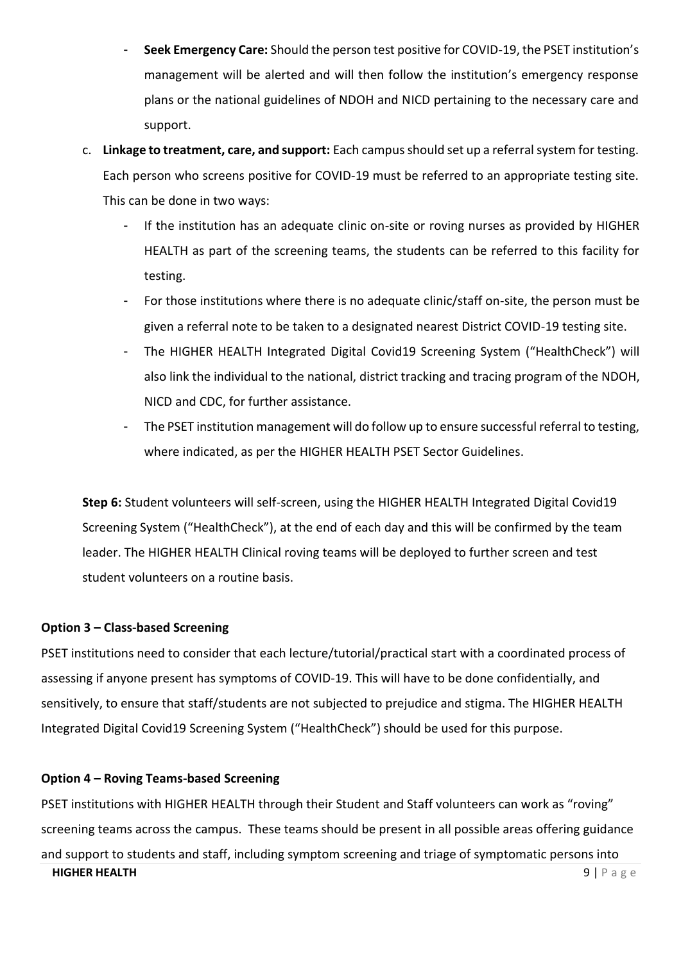- **Seek Emergency Care:** Should the person test positive for COVID-19, the PSET institution's management will be alerted and will then follow the institution's emergency response plans or the national guidelines of NDOH and NICD pertaining to the necessary care and support.
- c. **Linkage to treatment, care, and support:** Each campus should set up a referral system for testing. Each person who screens positive for COVID-19 must be referred to an appropriate testing site. This can be done in two ways:
	- If the institution has an adequate clinic on-site or roving nurses as provided by HIGHER HEALTH as part of the screening teams, the students can be referred to this facility for testing.
	- For those institutions where there is no adequate clinic/staff on-site, the person must be given a referral note to be taken to a designated nearest District COVID-19 testing site.
	- The HIGHER HEALTH Integrated Digital Covid19 Screening System ("HealthCheck") will also link the individual to the national, district tracking and tracing program of the NDOH, NICD and CDC, for further assistance.
	- The PSET institution management will do follow up to ensure successful referral to testing, where indicated, as per the HIGHER HEALTH PSET Sector Guidelines.

**Step 6:** Student volunteers will self-screen, using the HIGHER HEALTH Integrated Digital Covid19 Screening System ("HealthCheck"), at the end of each day and this will be confirmed by the team leader. The HIGHER HEALTH Clinical roving teams will be deployed to further screen and test student volunteers on a routine basis.

# <span id="page-9-0"></span>**Option 3 – Class-based Screening**

PSET institutions need to consider that each lecture/tutorial/practical start with a coordinated process of assessing if anyone present has symptoms of COVID-19. This will have to be done confidentially, and sensitively, to ensure that staff/students are not subjected to prejudice and stigma. The HIGHER HEALTH Integrated Digital Covid19 Screening System ("HealthCheck") should be used for this purpose.

# <span id="page-9-1"></span>**Option 4 – Roving Teams-based Screening**

**HIGHER HEALTH** 9 | P a g e PSET institutions with HIGHER HEALTH through their Student and Staff volunteers can work as "roving" screening teams across the campus. These teams should be present in all possible areas offering guidance and support to students and staff, including symptom screening and triage of symptomatic persons into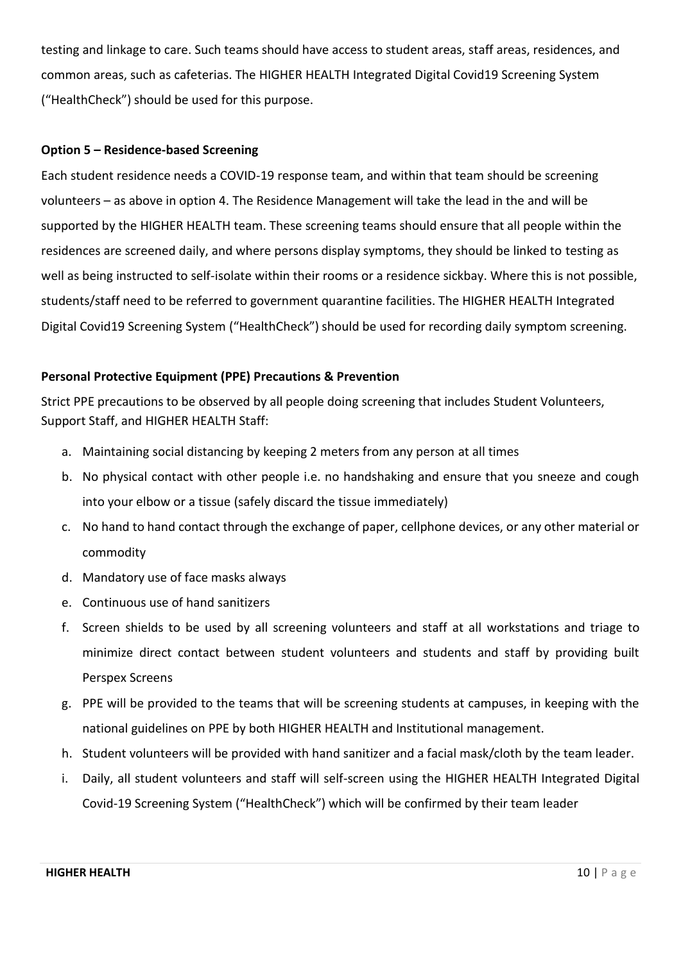testing and linkage to care. Such teams should have access to student areas, staff areas, residences, and common areas, such as cafeterias. The HIGHER HEALTH Integrated Digital Covid19 Screening System ("HealthCheck") should be used for this purpose.

#### <span id="page-10-0"></span>**Option 5 – Residence-based Screening**

Each student residence needs a COVID-19 response team, and within that team should be screening volunteers – as above in option 4. The Residence Management will take the lead in the and will be supported by the HIGHER HEALTH team. These screening teams should ensure that all people within the residences are screened daily, and where persons display symptoms, they should be linked to testing as well as being instructed to self-isolate within their rooms or a residence sickbay. Where this is not possible, students/staff need to be referred to government quarantine facilities. The HIGHER HEALTH Integrated Digital Covid19 Screening System ("HealthCheck") should be used for recording daily symptom screening.

#### <span id="page-10-1"></span>**Personal Protective Equipment (PPE) Precautions & Prevention**

Strict PPE precautions to be observed by all people doing screening that includes Student Volunteers, Support Staff, and HIGHER HEALTH Staff:

- a. Maintaining social distancing by keeping 2 meters from any person at all times
- b. No physical contact with other people i.e. no handshaking and ensure that you sneeze and cough into your elbow or a tissue (safely discard the tissue immediately)
- c. No hand to hand contact through the exchange of paper, cellphone devices, or any other material or commodity
- d. Mandatory use of face masks always
- e. Continuous use of hand sanitizers
- f. Screen shields to be used by all screening volunteers and staff at all workstations and triage to minimize direct contact between student volunteers and students and staff by providing built Perspex Screens
- g. PPE will be provided to the teams that will be screening students at campuses, in keeping with the national guidelines on PPE by both HIGHER HEALTH and Institutional management.
- h. Student volunteers will be provided with hand sanitizer and a facial mask/cloth by the team leader.
- i. Daily, all student volunteers and staff will self-screen using the HIGHER HEALTH Integrated Digital Covid-19 Screening System ("HealthCheck") which will be confirmed by their team leader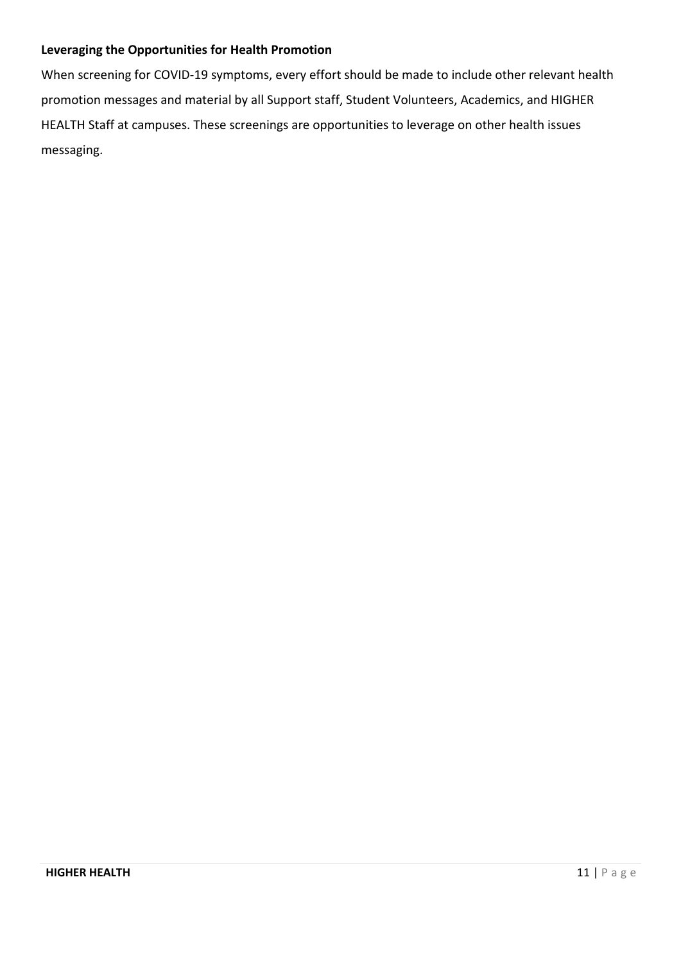# <span id="page-11-0"></span>**Leveraging the Opportunities for Health Promotion**

When screening for COVID-19 symptoms, every effort should be made to include other relevant health promotion messages and material by all Support staff, Student Volunteers, Academics, and HIGHER HEALTH Staff at campuses. These screenings are opportunities to leverage on other health issues messaging.